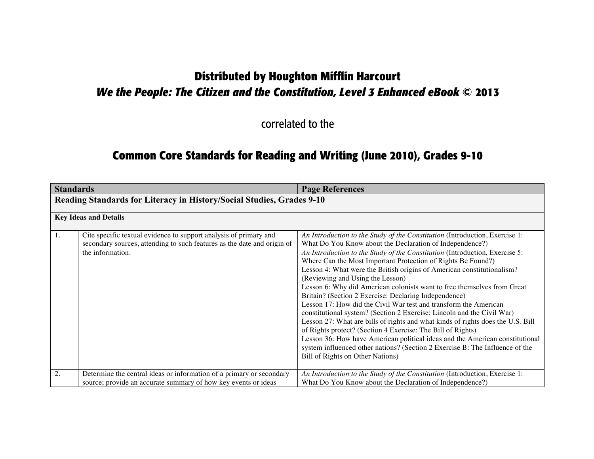# **Distributed by Houghton Mifflin Harcourt** *We the People: The Citizen and the Constitution, Level 3 Enhanced eBook* **© 2013**

correlated to the

# **Common Core Standards for Reading and Writing (June 2010), Grades 9-10**

| <b>Standards</b> |                                                                                                                                                                  | <b>Page References</b>                                                                                                                                                                                                                                                                                                                                                                                                                                                                                                                                                                                                                                                                                                                                                                                                                                                                                                                                                                                                                       |
|------------------|------------------------------------------------------------------------------------------------------------------------------------------------------------------|----------------------------------------------------------------------------------------------------------------------------------------------------------------------------------------------------------------------------------------------------------------------------------------------------------------------------------------------------------------------------------------------------------------------------------------------------------------------------------------------------------------------------------------------------------------------------------------------------------------------------------------------------------------------------------------------------------------------------------------------------------------------------------------------------------------------------------------------------------------------------------------------------------------------------------------------------------------------------------------------------------------------------------------------|
|                  | Reading Standards for Literacy in History/Social Studies, Grades 9-10                                                                                            |                                                                                                                                                                                                                                                                                                                                                                                                                                                                                                                                                                                                                                                                                                                                                                                                                                                                                                                                                                                                                                              |
|                  | <b>Key Ideas and Details</b>                                                                                                                                     |                                                                                                                                                                                                                                                                                                                                                                                                                                                                                                                                                                                                                                                                                                                                                                                                                                                                                                                                                                                                                                              |
| 1.               | Cite specific textual evidence to support analysis of primary and<br>secondary sources, attending to such features as the date and origin of<br>the information. | An Introduction to the Study of the Constitution (Introduction, Exercise 1:<br>What Do You Know about the Declaration of Independence?)<br>An Introduction to the Study of the Constitution (Introduction, Exercise 5:<br>Where Can the Most Important Protection of Rights Be Found?)<br>Lesson 4: What were the British origins of American constitutionalism?<br>(Reviewing and Using the Lesson)<br>Lesson 6: Why did American colonists want to free themselves from Great<br>Britain? (Section 2 Exercise: Declaring Independence)<br>Lesson 17: How did the Civil War test and transform the American<br>constitutional system? (Section 2 Exercise: Lincoln and the Civil War)<br>Lesson 27: What are bills of rights and what kinds of rights does the U.S. Bill<br>of Rights protect? (Section 4 Exercise: The Bill of Rights)<br>Lesson 36: How have American political ideas and the American constitutional<br>system influenced other nations? (Section 2 Exercise B: The Influence of the<br>Bill of Rights on Other Nations) |
| 2.               | Determine the central ideas or information of a primary or secondary<br>source; provide an accurate summary of how key events or ideas                           | An Introduction to the Study of the Constitution (Introduction, Exercise 1:<br>What Do You Know about the Declaration of Independence?)                                                                                                                                                                                                                                                                                                                                                                                                                                                                                                                                                                                                                                                                                                                                                                                                                                                                                                      |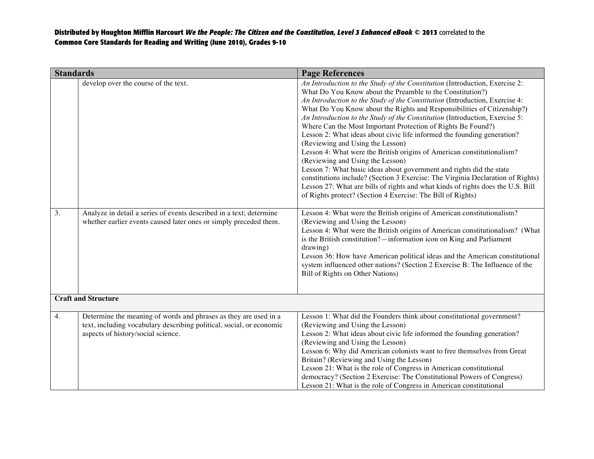| <b>Standards</b> |                                                                                                                                                                                | <b>Page References</b>                                                                                                                                                                                                                                                                                                                                                                                                                                                                                                                                                                                                                                                                                                                                                                                                                                                                                                                                                                      |
|------------------|--------------------------------------------------------------------------------------------------------------------------------------------------------------------------------|---------------------------------------------------------------------------------------------------------------------------------------------------------------------------------------------------------------------------------------------------------------------------------------------------------------------------------------------------------------------------------------------------------------------------------------------------------------------------------------------------------------------------------------------------------------------------------------------------------------------------------------------------------------------------------------------------------------------------------------------------------------------------------------------------------------------------------------------------------------------------------------------------------------------------------------------------------------------------------------------|
|                  | develop over the course of the text.                                                                                                                                           | An Introduction to the Study of the Constitution (Introduction, Exercise 2:<br>What Do You Know about the Preamble to the Constitution?)<br>An Introduction to the Study of the Constitution (Introduction, Exercise 4:<br>What Do You Know about the Rights and Responsibilities of Citizenship?)<br>An Introduction to the Study of the Constitution (Introduction, Exercise 5:<br>Where Can the Most Important Protection of Rights Be Found?)<br>Lesson 2: What ideas about civic life informed the founding generation?<br>(Reviewing and Using the Lesson)<br>Lesson 4: What were the British origins of American constitutionalism?<br>(Reviewing and Using the Lesson)<br>Lesson 7: What basic ideas about government and rights did the state<br>constitutions include? (Section 3 Exercise: The Virginia Declaration of Rights)<br>Lesson 27: What are bills of rights and what kinds of rights does the U.S. Bill<br>of Rights protect? (Section 4 Exercise: The Bill of Rights) |
| $\overline{3}$ . | Analyze in detail a series of events described in a text; determine<br>whether earlier events caused later ones or simply preceded them.                                       | Lesson 4: What were the British origins of American constitutionalism?<br>(Reviewing and Using the Lesson)<br>Lesson 4: What were the British origins of American constitutionalism? (What<br>is the British constitution?—information icon on King and Parliament<br>drawing)<br>Lesson 36: How have American political ideas and the American constitutional<br>system influenced other nations? (Section 2 Exercise B: The Influence of the<br>Bill of Rights on Other Nations)                                                                                                                                                                                                                                                                                                                                                                                                                                                                                                          |
|                  | <b>Craft and Structure</b>                                                                                                                                                     |                                                                                                                                                                                                                                                                                                                                                                                                                                                                                                                                                                                                                                                                                                                                                                                                                                                                                                                                                                                             |
| 4.               | Determine the meaning of words and phrases as they are used in a<br>text, including vocabulary describing political, social, or economic<br>aspects of history/social science. | Lesson 1: What did the Founders think about constitutional government?<br>(Reviewing and Using the Lesson)<br>Lesson 2: What ideas about civic life informed the founding generation?<br>(Reviewing and Using the Lesson)<br>Lesson 6: Why did American colonists want to free themselves from Great<br>Britain? (Reviewing and Using the Lesson)<br>Lesson 21: What is the role of Congress in American constitutional<br>democracy? (Section 2 Exercise: The Constitutional Powers of Congress)<br>Lesson 21: What is the role of Congress in American constitutional                                                                                                                                                                                                                                                                                                                                                                                                                     |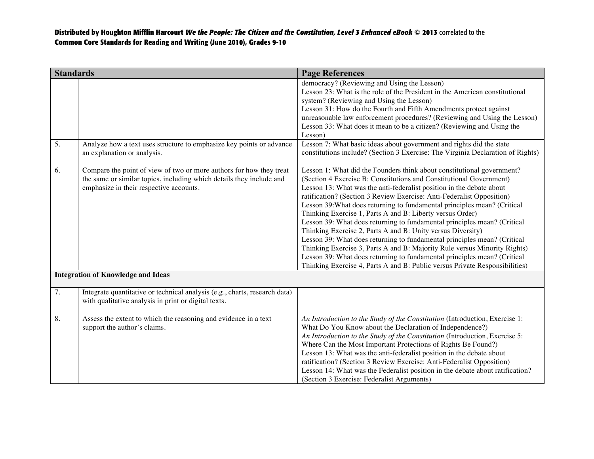| <b>Standards</b> |                                                                                                                                                                                                                                     | <b>Page References</b>                                                                                                                                                                                                                                                                                                                                                                                                                                                                                                                                                                                                                                                                                                                                                                                                                                                                                 |
|------------------|-------------------------------------------------------------------------------------------------------------------------------------------------------------------------------------------------------------------------------------|--------------------------------------------------------------------------------------------------------------------------------------------------------------------------------------------------------------------------------------------------------------------------------------------------------------------------------------------------------------------------------------------------------------------------------------------------------------------------------------------------------------------------------------------------------------------------------------------------------------------------------------------------------------------------------------------------------------------------------------------------------------------------------------------------------------------------------------------------------------------------------------------------------|
|                  |                                                                                                                                                                                                                                     | democracy? (Reviewing and Using the Lesson)<br>Lesson 23: What is the role of the President in the American constitutional<br>system? (Reviewing and Using the Lesson)<br>Lesson 31: How do the Fourth and Fifth Amendments protect against<br>unreasonable law enforcement procedures? (Reviewing and Using the Lesson)<br>Lesson 33: What does it mean to be a citizen? (Reviewing and Using the<br>Lesson)                                                                                                                                                                                                                                                                                                                                                                                                                                                                                          |
| 5.               | Analyze how a text uses structure to emphasize key points or advance<br>an explanation or analysis.                                                                                                                                 | Lesson 7: What basic ideas about government and rights did the state<br>constitutions include? (Section 3 Exercise: The Virginia Declaration of Rights)                                                                                                                                                                                                                                                                                                                                                                                                                                                                                                                                                                                                                                                                                                                                                |
| 6.               | Compare the point of view of two or more authors for how they treat<br>the same or similar topics, including which details they include and<br>emphasize in their respective accounts.<br><b>Integration of Knowledge and Ideas</b> | Lesson 1: What did the Founders think about constitutional government?<br>(Section 4 Exercise B: Constitutions and Constitutional Government)<br>Lesson 13: What was the anti-federalist position in the debate about<br>ratification? (Section 3 Review Exercise: Anti-Federalist Opposition)<br>Lesson 39: What does returning to fundamental principles mean? (Critical<br>Thinking Exercise 1, Parts A and B: Liberty versus Order)<br>Lesson 39: What does returning to fundamental principles mean? (Critical<br>Thinking Exercise 2, Parts A and B: Unity versus Diversity)<br>Lesson 39: What does returning to fundamental principles mean? (Critical<br>Thinking Exercise 3, Parts A and B: Majority Rule versus Minority Rights)<br>Lesson 39: What does returning to fundamental principles mean? (Critical<br>Thinking Exercise 4, Parts A and B: Public versus Private Responsibilities) |
|                  |                                                                                                                                                                                                                                     |                                                                                                                                                                                                                                                                                                                                                                                                                                                                                                                                                                                                                                                                                                                                                                                                                                                                                                        |
| 7.               | Integrate quantitative or technical analysis (e.g., charts, research data)<br>with qualitative analysis in print or digital texts.                                                                                                  |                                                                                                                                                                                                                                                                                                                                                                                                                                                                                                                                                                                                                                                                                                                                                                                                                                                                                                        |
| 8.               | Assess the extent to which the reasoning and evidence in a text<br>support the author's claims.                                                                                                                                     | An Introduction to the Study of the Constitution (Introduction, Exercise 1:<br>What Do You Know about the Declaration of Independence?)<br>An Introduction to the Study of the Constitution (Introduction, Exercise 5:<br>Where Can the Most Important Protections of Rights Be Found?)<br>Lesson 13: What was the anti-federalist position in the debate about<br>ratification? (Section 3 Review Exercise: Anti-Federalist Opposition)<br>Lesson 14: What was the Federalist position in the debate about ratification?<br>(Section 3 Exercise: Federalist Arguments)                                                                                                                                                                                                                                                                                                                                |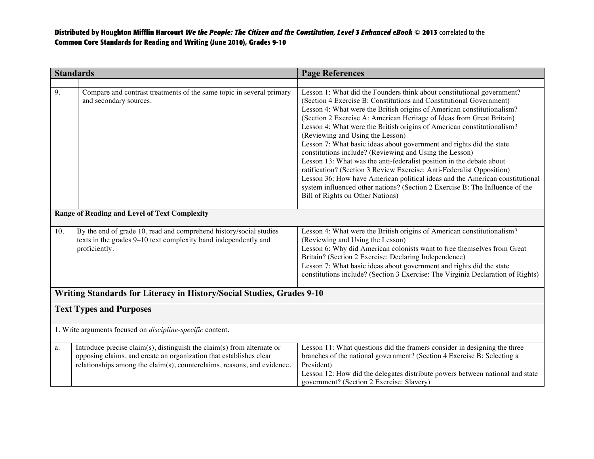|     | <b>Standards</b>                                                                                                                                                                                                        | <b>Page References</b>                                                                                                                                                                                                                                                                                                                                                                                                                                                                                                                                                                                                                                                                                                                                                                                                                                                                                 |  |
|-----|-------------------------------------------------------------------------------------------------------------------------------------------------------------------------------------------------------------------------|--------------------------------------------------------------------------------------------------------------------------------------------------------------------------------------------------------------------------------------------------------------------------------------------------------------------------------------------------------------------------------------------------------------------------------------------------------------------------------------------------------------------------------------------------------------------------------------------------------------------------------------------------------------------------------------------------------------------------------------------------------------------------------------------------------------------------------------------------------------------------------------------------------|--|
|     |                                                                                                                                                                                                                         |                                                                                                                                                                                                                                                                                                                                                                                                                                                                                                                                                                                                                                                                                                                                                                                                                                                                                                        |  |
| 9.  | Compare and contrast treatments of the same topic in several primary<br>and secondary sources.                                                                                                                          | Lesson 1: What did the Founders think about constitutional government?<br>(Section 4 Exercise B: Constitutions and Constitutional Government)<br>Lesson 4: What were the British origins of American constitutionalism?<br>(Section 2 Exercise A: American Heritage of Ideas from Great Britain)<br>Lesson 4: What were the British origins of American constitutionalism?<br>(Reviewing and Using the Lesson)<br>Lesson 7: What basic ideas about government and rights did the state<br>constitutions include? (Reviewing and Using the Lesson)<br>Lesson 13: What was the anti-federalist position in the debate about<br>ratification? (Section 3 Review Exercise: Anti-Federalist Opposition)<br>Lesson 36: How have American political ideas and the American constitutional<br>system influenced other nations? (Section 2 Exercise B: The Influence of the<br>Bill of Rights on Other Nations) |  |
|     | <b>Range of Reading and Level of Text Complexity</b>                                                                                                                                                                    |                                                                                                                                                                                                                                                                                                                                                                                                                                                                                                                                                                                                                                                                                                                                                                                                                                                                                                        |  |
| 10. | By the end of grade 10, read and comprehend history/social studies<br>texts in the grades 9-10 text complexity band independently and<br>proficiently.                                                                  | Lesson 4: What were the British origins of American constitutionalism?<br>(Reviewing and Using the Lesson)<br>Lesson 6: Why did American colonists want to free themselves from Great<br>Britain? (Section 2 Exercise: Declaring Independence)<br>Lesson 7: What basic ideas about government and rights did the state<br>constitutions include? (Section 3 Exercise: The Virginia Declaration of Rights)                                                                                                                                                                                                                                                                                                                                                                                                                                                                                              |  |
|     | Writing Standards for Literacy in History/Social Studies, Grades 9-10                                                                                                                                                   |                                                                                                                                                                                                                                                                                                                                                                                                                                                                                                                                                                                                                                                                                                                                                                                                                                                                                                        |  |
|     | <b>Text Types and Purposes</b>                                                                                                                                                                                          |                                                                                                                                                                                                                                                                                                                                                                                                                                                                                                                                                                                                                                                                                                                                                                                                                                                                                                        |  |
|     | 1. Write arguments focused on <i>discipline-specific</i> content.                                                                                                                                                       |                                                                                                                                                                                                                                                                                                                                                                                                                                                                                                                                                                                                                                                                                                                                                                                                                                                                                                        |  |
| a.  | Introduce precise claim(s), distinguish the claim(s) from alternate or<br>opposing claims, and create an organization that establishes clear<br>relationships among the claim(s), counterclaims, reasons, and evidence. | Lesson 11: What questions did the framers consider in designing the three<br>branches of the national government? (Section 4 Exercise B: Selecting a<br>President)<br>Lesson 12: How did the delegates distribute powers between national and state<br>government? (Section 2 Exercise: Slavery)                                                                                                                                                                                                                                                                                                                                                                                                                                                                                                                                                                                                       |  |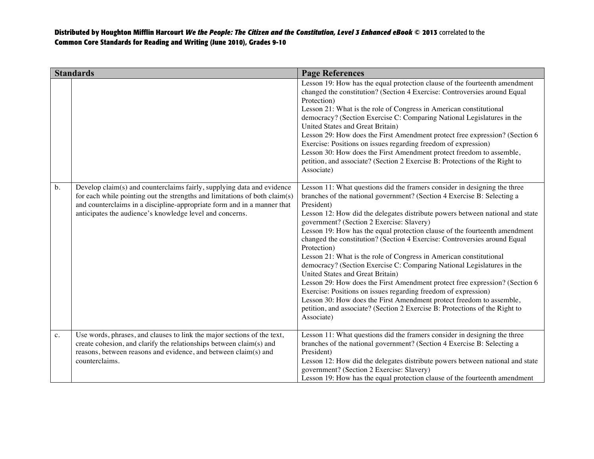|       | <b>Standards</b>                                                                                                                                                                                                                                                                            | <b>Page References</b>                                                                                                                                                                                                                                                                                                                                                                                                                                                                                                                                                                                                                                                                                                                                                                                                                                                                                                                                                               |
|-------|---------------------------------------------------------------------------------------------------------------------------------------------------------------------------------------------------------------------------------------------------------------------------------------------|--------------------------------------------------------------------------------------------------------------------------------------------------------------------------------------------------------------------------------------------------------------------------------------------------------------------------------------------------------------------------------------------------------------------------------------------------------------------------------------------------------------------------------------------------------------------------------------------------------------------------------------------------------------------------------------------------------------------------------------------------------------------------------------------------------------------------------------------------------------------------------------------------------------------------------------------------------------------------------------|
|       |                                                                                                                                                                                                                                                                                             | Lesson 19: How has the equal protection clause of the fourteenth amendment<br>changed the constitution? (Section 4 Exercise: Controversies around Equal<br>Protection)<br>Lesson 21: What is the role of Congress in American constitutional<br>democracy? (Section Exercise C: Comparing National Legislatures in the<br>United States and Great Britain)<br>Lesson 29: How does the First Amendment protect free expression? (Section 6<br>Exercise: Positions on issues regarding freedom of expression)<br>Lesson 30: How does the First Amendment protect freedom to assemble,<br>petition, and associate? (Section 2 Exercise B: Protections of the Right to<br>Associate)                                                                                                                                                                                                                                                                                                     |
| $b$ . | Develop claim(s) and counterclaims fairly, supplying data and evidence<br>for each while pointing out the strengths and limitations of both claim(s)<br>and counterclaims in a discipline-appropriate form and in a manner that<br>anticipates the audience's knowledge level and concerns. | Lesson 11: What questions did the framers consider in designing the three<br>branches of the national government? (Section 4 Exercise B: Selecting a<br>President)<br>Lesson 12: How did the delegates distribute powers between national and state<br>government? (Section 2 Exercise: Slavery)<br>Lesson 19: How has the equal protection clause of the fourteenth amendment<br>changed the constitution? (Section 4 Exercise: Controversies around Equal<br>Protection)<br>Lesson 21: What is the role of Congress in American constitutional<br>democracy? (Section Exercise C: Comparing National Legislatures in the<br>United States and Great Britain)<br>Lesson 29: How does the First Amendment protect free expression? (Section 6<br>Exercise: Positions on issues regarding freedom of expression)<br>Lesson 30: How does the First Amendment protect freedom to assemble,<br>petition, and associate? (Section 2 Exercise B: Protections of the Right to<br>Associate) |
| c.    | Use words, phrases, and clauses to link the major sections of the text,<br>create cohesion, and clarify the relationships between claim(s) and<br>reasons, between reasons and evidence, and between claim(s) and<br>counterclaims.                                                         | Lesson 11: What questions did the framers consider in designing the three<br>branches of the national government? (Section 4 Exercise B: Selecting a<br>President)<br>Lesson 12: How did the delegates distribute powers between national and state<br>government? (Section 2 Exercise: Slavery)<br>Lesson 19: How has the equal protection clause of the fourteenth amendment                                                                                                                                                                                                                                                                                                                                                                                                                                                                                                                                                                                                       |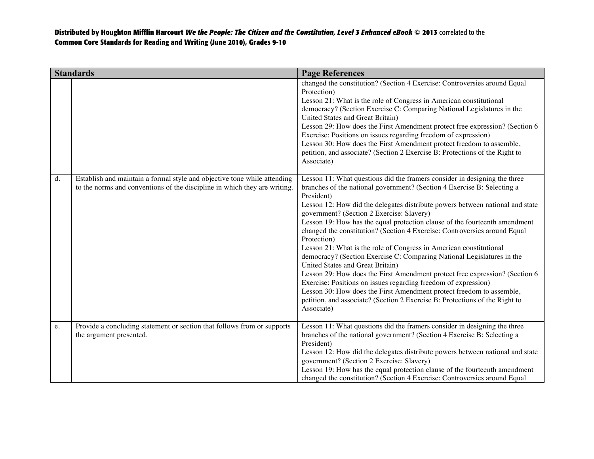|    | <b>Standards</b>                                                                                                                                      | <b>Page References</b>                                                                                                                                                                                                                                                                                                                                                                                                                                                                                                                                                                                                                                                                                                                                                                                                                                                                                                                                                               |
|----|-------------------------------------------------------------------------------------------------------------------------------------------------------|--------------------------------------------------------------------------------------------------------------------------------------------------------------------------------------------------------------------------------------------------------------------------------------------------------------------------------------------------------------------------------------------------------------------------------------------------------------------------------------------------------------------------------------------------------------------------------------------------------------------------------------------------------------------------------------------------------------------------------------------------------------------------------------------------------------------------------------------------------------------------------------------------------------------------------------------------------------------------------------|
|    |                                                                                                                                                       | changed the constitution? (Section 4 Exercise: Controversies around Equal<br>Protection)<br>Lesson 21: What is the role of Congress in American constitutional<br>democracy? (Section Exercise C: Comparing National Legislatures in the<br>United States and Great Britain)<br>Lesson 29: How does the First Amendment protect free expression? (Section 6<br>Exercise: Positions on issues regarding freedom of expression)<br>Lesson 30: How does the First Amendment protect freedom to assemble,<br>petition, and associate? (Section 2 Exercise B: Protections of the Right to<br>Associate)                                                                                                                                                                                                                                                                                                                                                                                   |
| d. | Establish and maintain a formal style and objective tone while attending<br>to the norms and conventions of the discipline in which they are writing. | Lesson 11: What questions did the framers consider in designing the three<br>branches of the national government? (Section 4 Exercise B: Selecting a<br>President)<br>Lesson 12: How did the delegates distribute powers between national and state<br>government? (Section 2 Exercise: Slavery)<br>Lesson 19: How has the equal protection clause of the fourteenth amendment<br>changed the constitution? (Section 4 Exercise: Controversies around Equal<br>Protection)<br>Lesson 21: What is the role of Congress in American constitutional<br>democracy? (Section Exercise C: Comparing National Legislatures in the<br>United States and Great Britain)<br>Lesson 29: How does the First Amendment protect free expression? (Section 6<br>Exercise: Positions on issues regarding freedom of expression)<br>Lesson 30: How does the First Amendment protect freedom to assemble,<br>petition, and associate? (Section 2 Exercise B: Protections of the Right to<br>Associate) |
| e. | Provide a concluding statement or section that follows from or supports<br>the argument presented.                                                    | Lesson 11: What questions did the framers consider in designing the three<br>branches of the national government? (Section 4 Exercise B: Selecting a<br>President)<br>Lesson 12: How did the delegates distribute powers between national and state<br>government? (Section 2 Exercise: Slavery)<br>Lesson 19: How has the equal protection clause of the fourteenth amendment<br>changed the constitution? (Section 4 Exercise: Controversies around Equal                                                                                                                                                                                                                                                                                                                                                                                                                                                                                                                          |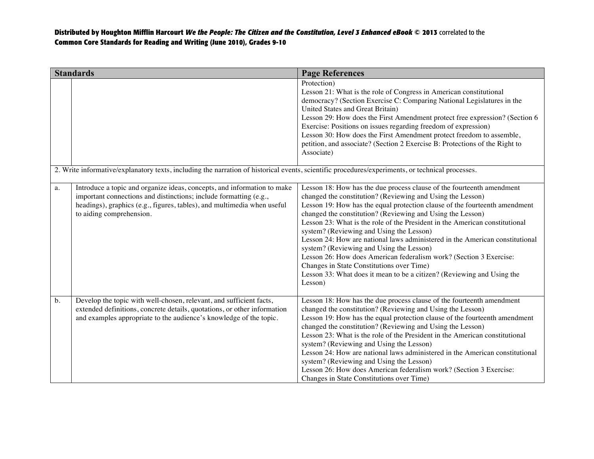|    | <b>Standards</b>                                                                                                                                                                                                                                    | <b>Page References</b>                                                                                                                                                                                                                                                                                                                                                                                                                                                                                                                                                                                                                                                                                                                         |
|----|-----------------------------------------------------------------------------------------------------------------------------------------------------------------------------------------------------------------------------------------------------|------------------------------------------------------------------------------------------------------------------------------------------------------------------------------------------------------------------------------------------------------------------------------------------------------------------------------------------------------------------------------------------------------------------------------------------------------------------------------------------------------------------------------------------------------------------------------------------------------------------------------------------------------------------------------------------------------------------------------------------------|
|    |                                                                                                                                                                                                                                                     | Protection)<br>Lesson 21: What is the role of Congress in American constitutional<br>democracy? (Section Exercise C: Comparing National Legislatures in the<br>United States and Great Britain)<br>Lesson 29: How does the First Amendment protect free expression? (Section 6<br>Exercise: Positions on issues regarding freedom of expression)<br>Lesson 30: How does the First Amendment protect freedom to assemble,<br>petition, and associate? (Section 2 Exercise B: Protections of the Right to<br>Associate)                                                                                                                                                                                                                          |
|    | 2. Write informative/explanatory texts, including the narration of historical events, scientific procedures/experiments, or technical processes.                                                                                                    |                                                                                                                                                                                                                                                                                                                                                                                                                                                                                                                                                                                                                                                                                                                                                |
| a. | Introduce a topic and organize ideas, concepts, and information to make<br>important connections and distinctions; include formatting (e.g.,<br>headings), graphics (e.g., figures, tables), and multimedia when useful<br>to aiding comprehension. | Lesson 18: How has the due process clause of the fourteenth amendment<br>changed the constitution? (Reviewing and Using the Lesson)<br>Lesson 19: How has the equal protection clause of the fourteenth amendment<br>changed the constitution? (Reviewing and Using the Lesson)<br>Lesson 23: What is the role of the President in the American constitutional<br>system? (Reviewing and Using the Lesson)<br>Lesson 24: How are national laws administered in the American constitutional<br>system? (Reviewing and Using the Lesson)<br>Lesson 26: How does American federalism work? (Section 3 Exercise:<br>Changes in State Constitutions over Time)<br>Lesson 33: What does it mean to be a citizen? (Reviewing and Using the<br>Lesson) |
| b. | Develop the topic with well-chosen, relevant, and sufficient facts,<br>extended definitions, concrete details, quotations, or other information<br>and examples appropriate to the audience's knowledge of the topic.                               | Lesson 18: How has the due process clause of the fourteenth amendment<br>changed the constitution? (Reviewing and Using the Lesson)<br>Lesson 19: How has the equal protection clause of the fourteenth amendment<br>changed the constitution? (Reviewing and Using the Lesson)<br>Lesson 23: What is the role of the President in the American constitutional<br>system? (Reviewing and Using the Lesson)<br>Lesson 24: How are national laws administered in the American constitutional<br>system? (Reviewing and Using the Lesson)<br>Lesson 26: How does American federalism work? (Section 3 Exercise:<br>Changes in State Constitutions over Time)                                                                                      |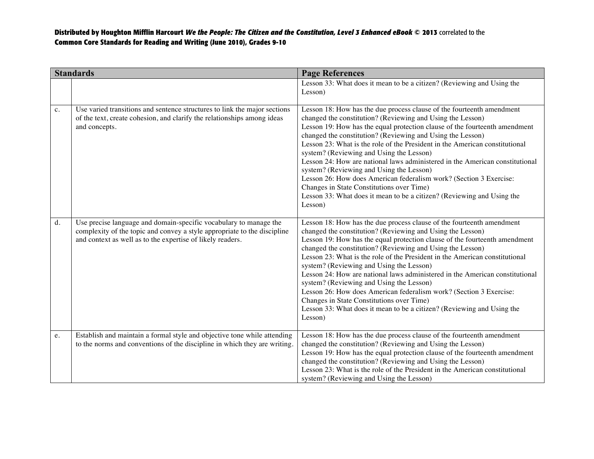|                | <b>Standards</b>                                                                                                                                                                                            | <b>Page References</b>                                                                                                                                                                                                                                                                                                                                                                                                                                                                                                                                                                                                                                                                                                                         |
|----------------|-------------------------------------------------------------------------------------------------------------------------------------------------------------------------------------------------------------|------------------------------------------------------------------------------------------------------------------------------------------------------------------------------------------------------------------------------------------------------------------------------------------------------------------------------------------------------------------------------------------------------------------------------------------------------------------------------------------------------------------------------------------------------------------------------------------------------------------------------------------------------------------------------------------------------------------------------------------------|
|                |                                                                                                                                                                                                             | Lesson 33: What does it mean to be a citizen? (Reviewing and Using the<br>Lesson)                                                                                                                                                                                                                                                                                                                                                                                                                                                                                                                                                                                                                                                              |
| $\mathbf{c}$ . | Use varied transitions and sentence structures to link the major sections<br>of the text, create cohesion, and clarify the relationships among ideas<br>and concepts.                                       | Lesson 18: How has the due process clause of the fourteenth amendment<br>changed the constitution? (Reviewing and Using the Lesson)<br>Lesson 19: How has the equal protection clause of the fourteenth amendment<br>changed the constitution? (Reviewing and Using the Lesson)<br>Lesson 23: What is the role of the President in the American constitutional<br>system? (Reviewing and Using the Lesson)<br>Lesson 24: How are national laws administered in the American constitutional<br>system? (Reviewing and Using the Lesson)<br>Lesson 26: How does American federalism work? (Section 3 Exercise:<br>Changes in State Constitutions over Time)<br>Lesson 33: What does it mean to be a citizen? (Reviewing and Using the<br>Lesson) |
| d.             | Use precise language and domain-specific vocabulary to manage the<br>complexity of the topic and convey a style appropriate to the discipline<br>and context as well as to the expertise of likely readers. | Lesson 18: How has the due process clause of the fourteenth amendment<br>changed the constitution? (Reviewing and Using the Lesson)<br>Lesson 19: How has the equal protection clause of the fourteenth amendment<br>changed the constitution? (Reviewing and Using the Lesson)<br>Lesson 23: What is the role of the President in the American constitutional<br>system? (Reviewing and Using the Lesson)<br>Lesson 24: How are national laws administered in the American constitutional<br>system? (Reviewing and Using the Lesson)<br>Lesson 26: How does American federalism work? (Section 3 Exercise:<br>Changes in State Constitutions over Time)<br>Lesson 33: What does it mean to be a citizen? (Reviewing and Using the<br>Lesson) |
| e.             | Establish and maintain a formal style and objective tone while attending<br>to the norms and conventions of the discipline in which they are writing.                                                       | Lesson 18: How has the due process clause of the fourteenth amendment<br>changed the constitution? (Reviewing and Using the Lesson)<br>Lesson 19: How has the equal protection clause of the fourteenth amendment<br>changed the constitution? (Reviewing and Using the Lesson)<br>Lesson 23: What is the role of the President in the American constitutional<br>system? (Reviewing and Using the Lesson)                                                                                                                                                                                                                                                                                                                                     |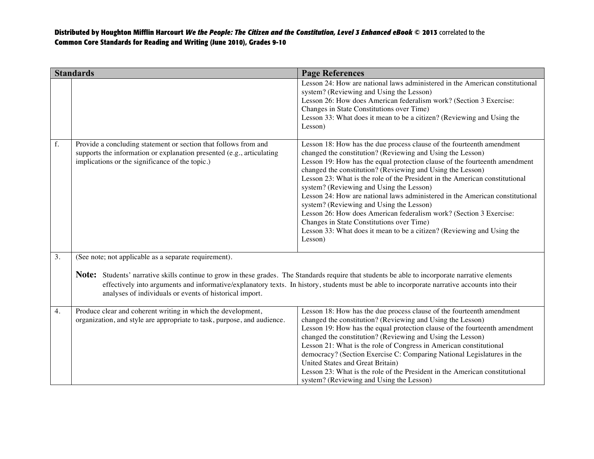|    | <b>Standards</b>                                                                                                                                                                                                                                                            | <b>Page References</b>                                                                                                                                                                                                                                                                                                                                                                                                                                                                                                                                                                                                                                                                                                                         |
|----|-----------------------------------------------------------------------------------------------------------------------------------------------------------------------------------------------------------------------------------------------------------------------------|------------------------------------------------------------------------------------------------------------------------------------------------------------------------------------------------------------------------------------------------------------------------------------------------------------------------------------------------------------------------------------------------------------------------------------------------------------------------------------------------------------------------------------------------------------------------------------------------------------------------------------------------------------------------------------------------------------------------------------------------|
|    |                                                                                                                                                                                                                                                                             | Lesson 24: How are national laws administered in the American constitutional<br>system? (Reviewing and Using the Lesson)<br>Lesson 26: How does American federalism work? (Section 3 Exercise:<br>Changes in State Constitutions over Time)<br>Lesson 33: What does it mean to be a citizen? (Reviewing and Using the<br>Lesson)                                                                                                                                                                                                                                                                                                                                                                                                               |
| f. | Provide a concluding statement or section that follows from and<br>supports the information or explanation presented (e.g., articulating<br>implications or the significance of the topic.)                                                                                 | Lesson 18: How has the due process clause of the fourteenth amendment<br>changed the constitution? (Reviewing and Using the Lesson)<br>Lesson 19: How has the equal protection clause of the fourteenth amendment<br>changed the constitution? (Reviewing and Using the Lesson)<br>Lesson 23: What is the role of the President in the American constitutional<br>system? (Reviewing and Using the Lesson)<br>Lesson 24: How are national laws administered in the American constitutional<br>system? (Reviewing and Using the Lesson)<br>Lesson 26: How does American federalism work? (Section 3 Exercise:<br>Changes in State Constitutions over Time)<br>Lesson 33: What does it mean to be a citizen? (Reviewing and Using the<br>Lesson) |
| 3. | (See note; not applicable as a separate requirement).<br><b>Note:</b> Students' narrative skills continue to grow in these grades. The Standards require that students be able to incorporate narrative elements<br>analyses of individuals or events of historical import. | effectively into arguments and informative/explanatory texts. In history, students must be able to incorporate narrative accounts into their                                                                                                                                                                                                                                                                                                                                                                                                                                                                                                                                                                                                   |
| 4. | Produce clear and coherent writing in which the development,<br>organization, and style are appropriate to task, purpose, and audience.                                                                                                                                     | Lesson 18: How has the due process clause of the fourteenth amendment<br>changed the constitution? (Reviewing and Using the Lesson)<br>Lesson 19: How has the equal protection clause of the fourteenth amendment<br>changed the constitution? (Reviewing and Using the Lesson)<br>Lesson 21: What is the role of Congress in American constitutional<br>democracy? (Section Exercise C: Comparing National Legislatures in the<br>United States and Great Britain)<br>Lesson 23: What is the role of the President in the American constitutional<br>system? (Reviewing and Using the Lesson)                                                                                                                                                 |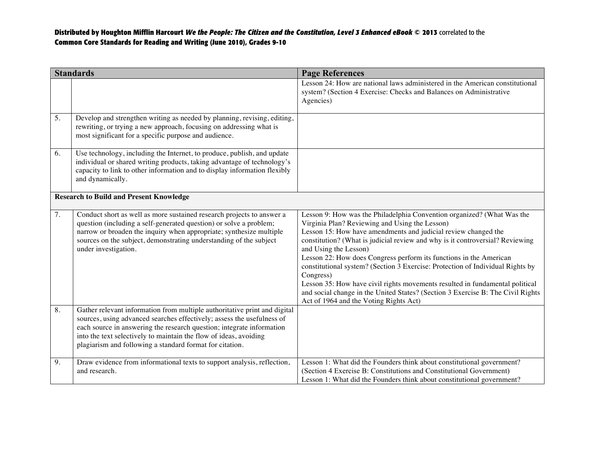|    | <b>Standards</b>                                                                                                                                                                                                                                                                                                                                              | <b>Page References</b>                                                                                                                                                                                                                                                                                                                                                                                                                                                                                                                                                                                                                                                                 |
|----|---------------------------------------------------------------------------------------------------------------------------------------------------------------------------------------------------------------------------------------------------------------------------------------------------------------------------------------------------------------|----------------------------------------------------------------------------------------------------------------------------------------------------------------------------------------------------------------------------------------------------------------------------------------------------------------------------------------------------------------------------------------------------------------------------------------------------------------------------------------------------------------------------------------------------------------------------------------------------------------------------------------------------------------------------------------|
|    |                                                                                                                                                                                                                                                                                                                                                               | Lesson 24: How are national laws administered in the American constitutional<br>system? (Section 4 Exercise: Checks and Balances on Administrative<br>Agencies)                                                                                                                                                                                                                                                                                                                                                                                                                                                                                                                        |
| 5. | Develop and strengthen writing as needed by planning, revising, editing,<br>rewriting, or trying a new approach, focusing on addressing what is<br>most significant for a specific purpose and audience.                                                                                                                                                      |                                                                                                                                                                                                                                                                                                                                                                                                                                                                                                                                                                                                                                                                                        |
| 6. | Use technology, including the Internet, to produce, publish, and update<br>individual or shared writing products, taking advantage of technology's<br>capacity to link to other information and to display information flexibly<br>and dynamically.                                                                                                           |                                                                                                                                                                                                                                                                                                                                                                                                                                                                                                                                                                                                                                                                                        |
|    | <b>Research to Build and Present Knowledge</b>                                                                                                                                                                                                                                                                                                                |                                                                                                                                                                                                                                                                                                                                                                                                                                                                                                                                                                                                                                                                                        |
| 7. | Conduct short as well as more sustained research projects to answer a<br>question (including a self-generated question) or solve a problem;<br>narrow or broaden the inquiry when appropriate; synthesize multiple<br>sources on the subject, demonstrating understanding of the subject<br>under investigation.                                              | Lesson 9: How was the Philadelphia Convention organized? (What Was the<br>Virginia Plan? Reviewing and Using the Lesson)<br>Lesson 15: How have amendments and judicial review changed the<br>constitution? (What is judicial review and why is it controversial? Reviewing<br>and Using the Lesson)<br>Lesson 22: How does Congress perform its functions in the American<br>constitutional system? (Section 3 Exercise: Protection of Individual Rights by<br>Congress)<br>Lesson 35: How have civil rights movements resulted in fundamental political<br>and social change in the United States? (Section 3 Exercise B: The Civil Rights<br>Act of 1964 and the Voting Rights Act) |
| 8. | Gather relevant information from multiple authoritative print and digital<br>sources, using advanced searches effectively; assess the usefulness of<br>each source in answering the research question; integrate information<br>into the text selectively to maintain the flow of ideas, avoiding<br>plagiarism and following a standard format for citation. |                                                                                                                                                                                                                                                                                                                                                                                                                                                                                                                                                                                                                                                                                        |
| 9. | Draw evidence from informational texts to support analysis, reflection,<br>and research.                                                                                                                                                                                                                                                                      | Lesson 1: What did the Founders think about constitutional government?<br>(Section 4 Exercise B: Constitutions and Constitutional Government)<br>Lesson 1: What did the Founders think about constitutional government?                                                                                                                                                                                                                                                                                                                                                                                                                                                                |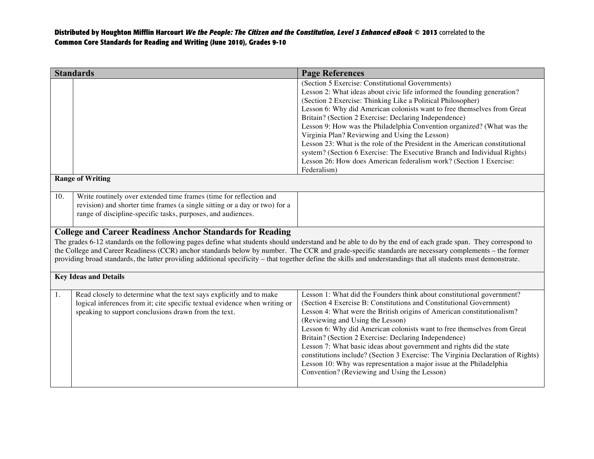|                                                                                                                                                                                                                                                                                                                                                                                                                                                                                                                                                            | <b>Standards</b>                                                                                                                                                                                                 | <b>Page References</b>                                                                                                                                                                                                                                                                                                                                                                                                                                                                                                                                                                                                                                                                                     |
|------------------------------------------------------------------------------------------------------------------------------------------------------------------------------------------------------------------------------------------------------------------------------------------------------------------------------------------------------------------------------------------------------------------------------------------------------------------------------------------------------------------------------------------------------------|------------------------------------------------------------------------------------------------------------------------------------------------------------------------------------------------------------------|------------------------------------------------------------------------------------------------------------------------------------------------------------------------------------------------------------------------------------------------------------------------------------------------------------------------------------------------------------------------------------------------------------------------------------------------------------------------------------------------------------------------------------------------------------------------------------------------------------------------------------------------------------------------------------------------------------|
|                                                                                                                                                                                                                                                                                                                                                                                                                                                                                                                                                            |                                                                                                                                                                                                                  | (Section 5 Exercise: Constitutional Governments)<br>Lesson 2: What ideas about civic life informed the founding generation?<br>(Section 2 Exercise: Thinking Like a Political Philosopher)<br>Lesson 6: Why did American colonists want to free themselves from Great<br>Britain? (Section 2 Exercise: Declaring Independence)<br>Lesson 9: How was the Philadelphia Convention organized? (What was the<br>Virginia Plan? Reviewing and Using the Lesson)<br>Lesson 23: What is the role of the President in the American constitutional<br>system? (Section 6 Exercise: The Executive Branch and Individual Rights)<br>Lesson 26: How does American federalism work? (Section 1 Exercise:<br>Federalism) |
|                                                                                                                                                                                                                                                                                                                                                                                                                                                                                                                                                            | <b>Range of Writing</b>                                                                                                                                                                                          |                                                                                                                                                                                                                                                                                                                                                                                                                                                                                                                                                                                                                                                                                                            |
| 10.                                                                                                                                                                                                                                                                                                                                                                                                                                                                                                                                                        | Write routinely over extended time frames (time for reflection and<br>revision) and shorter time frames (a single sitting or a day or two) for a<br>range of discipline-specific tasks, purposes, and audiences. |                                                                                                                                                                                                                                                                                                                                                                                                                                                                                                                                                                                                                                                                                                            |
| <b>College and Career Readiness Anchor Standards for Reading</b><br>The grades 6-12 standards on the following pages define what students should understand and be able to do by the end of each grade span. They correspond to<br>the College and Career Readiness (CCR) anchor standards below by number. The CCR and grade-specific standards are necessary complements – the former<br>providing broad standards, the latter providing additional specificity – that together define the skills and understandings that all students must demonstrate. |                                                                                                                                                                                                                  |                                                                                                                                                                                                                                                                                                                                                                                                                                                                                                                                                                                                                                                                                                            |
|                                                                                                                                                                                                                                                                                                                                                                                                                                                                                                                                                            | <b>Key Ideas and Details</b>                                                                                                                                                                                     |                                                                                                                                                                                                                                                                                                                                                                                                                                                                                                                                                                                                                                                                                                            |
| 1.                                                                                                                                                                                                                                                                                                                                                                                                                                                                                                                                                         | Read closely to determine what the text says explicitly and to make<br>logical inferences from it; cite specific textual evidence when writing or<br>speaking to support conclusions drawn from the text.        | Lesson 1: What did the Founders think about constitutional government?<br>(Section 4 Exercise B: Constitutions and Constitutional Government)<br>Lesson 4: What were the British origins of American constitutionalism?<br>(Reviewing and Using the Lesson)<br>Lesson 6: Why did American colonists want to free themselves from Great<br>Britain? (Section 2 Exercise: Declaring Independence)<br>Lesson 7: What basic ideas about government and rights did the state<br>constitutions include? (Section 3 Exercise: The Virginia Declaration of Rights)<br>Lesson 10: Why was representation a major issue at the Philadelphia<br>Convention? (Reviewing and Using the Lesson)                          |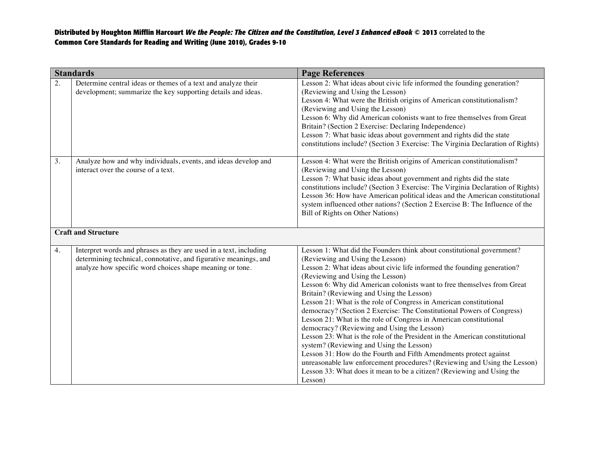|    | <b>Standards</b>                                                                                                                                                                                  | <b>Page References</b>                                                                                                                                                                                                                                                                                                                                                                                                                                                                                                                                                                                                                                                                                                                                                                                                                                                                                                                                                                   |
|----|---------------------------------------------------------------------------------------------------------------------------------------------------------------------------------------------------|------------------------------------------------------------------------------------------------------------------------------------------------------------------------------------------------------------------------------------------------------------------------------------------------------------------------------------------------------------------------------------------------------------------------------------------------------------------------------------------------------------------------------------------------------------------------------------------------------------------------------------------------------------------------------------------------------------------------------------------------------------------------------------------------------------------------------------------------------------------------------------------------------------------------------------------------------------------------------------------|
| 2. | Determine central ideas or themes of a text and analyze their<br>development; summarize the key supporting details and ideas.                                                                     | Lesson 2: What ideas about civic life informed the founding generation?<br>(Reviewing and Using the Lesson)<br>Lesson 4: What were the British origins of American constitutionalism?<br>(Reviewing and Using the Lesson)<br>Lesson 6: Why did American colonists want to free themselves from Great<br>Britain? (Section 2 Exercise: Declaring Independence)<br>Lesson 7: What basic ideas about government and rights did the state<br>constitutions include? (Section 3 Exercise: The Virginia Declaration of Rights)                                                                                                                                                                                                                                                                                                                                                                                                                                                                 |
| 3. | Analyze how and why individuals, events, and ideas develop and<br>interact over the course of a text.                                                                                             | Lesson 4: What were the British origins of American constitutionalism?<br>(Reviewing and Using the Lesson)<br>Lesson 7: What basic ideas about government and rights did the state<br>constitutions include? (Section 3 Exercise: The Virginia Declaration of Rights)<br>Lesson 36: How have American political ideas and the American constitutional<br>system influenced other nations? (Section 2 Exercise B: The Influence of the<br>Bill of Rights on Other Nations)                                                                                                                                                                                                                                                                                                                                                                                                                                                                                                                |
|    | <b>Craft and Structure</b>                                                                                                                                                                        |                                                                                                                                                                                                                                                                                                                                                                                                                                                                                                                                                                                                                                                                                                                                                                                                                                                                                                                                                                                          |
| 4. | Interpret words and phrases as they are used in a text, including<br>determining technical, connotative, and figurative meanings, and<br>analyze how specific word choices shape meaning or tone. | Lesson 1: What did the Founders think about constitutional government?<br>(Reviewing and Using the Lesson)<br>Lesson 2: What ideas about civic life informed the founding generation?<br>(Reviewing and Using the Lesson)<br>Lesson 6: Why did American colonists want to free themselves from Great<br>Britain? (Reviewing and Using the Lesson)<br>Lesson 21: What is the role of Congress in American constitutional<br>democracy? (Section 2 Exercise: The Constitutional Powers of Congress)<br>Lesson 21: What is the role of Congress in American constitutional<br>democracy? (Reviewing and Using the Lesson)<br>Lesson 23: What is the role of the President in the American constitutional<br>system? (Reviewing and Using the Lesson)<br>Lesson 31: How do the Fourth and Fifth Amendments protect against<br>unreasonable law enforcement procedures? (Reviewing and Using the Lesson)<br>Lesson 33: What does it mean to be a citizen? (Reviewing and Using the<br>Lesson) |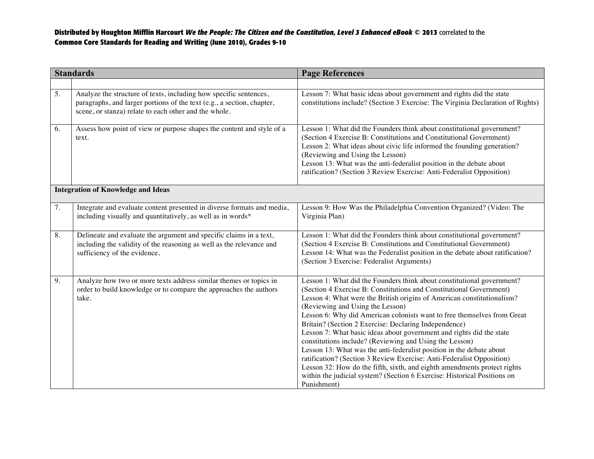| <b>Standards</b>                          |                                                                                                                                                                                                      | <b>Page References</b>                                                                                                                                                                                                                                                                                                                                                                                                                                                                                                                                                                                                                                                                                                                                                                                                                                     |
|-------------------------------------------|------------------------------------------------------------------------------------------------------------------------------------------------------------------------------------------------------|------------------------------------------------------------------------------------------------------------------------------------------------------------------------------------------------------------------------------------------------------------------------------------------------------------------------------------------------------------------------------------------------------------------------------------------------------------------------------------------------------------------------------------------------------------------------------------------------------------------------------------------------------------------------------------------------------------------------------------------------------------------------------------------------------------------------------------------------------------|
|                                           |                                                                                                                                                                                                      |                                                                                                                                                                                                                                                                                                                                                                                                                                                                                                                                                                                                                                                                                                                                                                                                                                                            |
| 5.                                        | Analyze the structure of texts, including how specific sentences,<br>paragraphs, and larger portions of the text (e.g., a section, chapter,<br>scene, or stanza) relate to each other and the whole. | Lesson 7: What basic ideas about government and rights did the state<br>constitutions include? (Section 3 Exercise: The Virginia Declaration of Rights)                                                                                                                                                                                                                                                                                                                                                                                                                                                                                                                                                                                                                                                                                                    |
| 6.                                        | Assess how point of view or purpose shapes the content and style of a<br>text.                                                                                                                       | Lesson 1: What did the Founders think about constitutional government?<br>(Section 4 Exercise B: Constitutions and Constitutional Government)<br>Lesson 2: What ideas about civic life informed the founding generation?<br>(Reviewing and Using the Lesson)<br>Lesson 13: What was the anti-federalist position in the debate about<br>ratification? (Section 3 Review Exercise: Anti-Federalist Opposition)                                                                                                                                                                                                                                                                                                                                                                                                                                              |
| <b>Integration of Knowledge and Ideas</b> |                                                                                                                                                                                                      |                                                                                                                                                                                                                                                                                                                                                                                                                                                                                                                                                                                                                                                                                                                                                                                                                                                            |
| $\overline{7}$ .                          | Integrate and evaluate content presented in diverse formats and media,<br>including visually and quantitatively, as well as in words*                                                                | Lesson 9: How Was the Philadelphia Convention Organized? (Video: The<br>Virginia Plan)                                                                                                                                                                                                                                                                                                                                                                                                                                                                                                                                                                                                                                                                                                                                                                     |
| 8.                                        | Delineate and evaluate the argument and specific claims in a text,<br>including the validity of the reasoning as well as the relevance and<br>sufficiency of the evidence.                           | Lesson 1: What did the Founders think about constitutional government?<br>(Section 4 Exercise B: Constitutions and Constitutional Government)<br>Lesson 14: What was the Federalist position in the debate about ratification?<br>(Section 3 Exercise: Federalist Arguments)                                                                                                                                                                                                                                                                                                                                                                                                                                                                                                                                                                               |
| 9.                                        | Analyze how two or more texts address similar themes or topics in<br>order to build knowledge or to compare the approaches the authors<br>take.                                                      | Lesson 1: What did the Founders think about constitutional government?<br>(Section 4 Exercise B: Constitutions and Constitutional Government)<br>Lesson 4: What were the British origins of American constitutionalism?<br>(Reviewing and Using the Lesson)<br>Lesson 6: Why did American colonists want to free themselves from Great<br>Britain? (Section 2 Exercise: Declaring Independence)<br>Lesson 7: What basic ideas about government and rights did the state<br>constitutions include? (Reviewing and Using the Lesson)<br>Lesson 13: What was the anti-federalist position in the debate about<br>ratification? (Section 3 Review Exercise: Anti-Federalist Opposition)<br>Lesson 32: How do the fifth, sixth, and eighth amendments protect rights<br>within the judicial system? (Section 6 Exercise: Historical Positions on<br>Punishment) |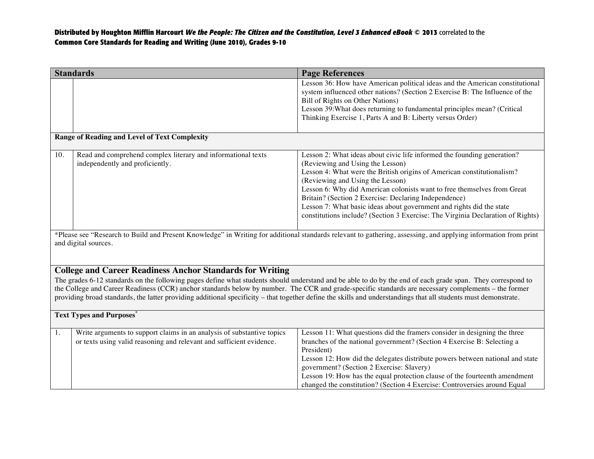| <b>Standards</b>                                                                                                                                                                                                                                                                                                                                                                                                                                                                                                                                           |                                                                                                                                                | <b>Page References</b>                                                                                                                                                                                                                                                                                                                                                                                                                                                                                                   |  |
|------------------------------------------------------------------------------------------------------------------------------------------------------------------------------------------------------------------------------------------------------------------------------------------------------------------------------------------------------------------------------------------------------------------------------------------------------------------------------------------------------------------------------------------------------------|------------------------------------------------------------------------------------------------------------------------------------------------|--------------------------------------------------------------------------------------------------------------------------------------------------------------------------------------------------------------------------------------------------------------------------------------------------------------------------------------------------------------------------------------------------------------------------------------------------------------------------------------------------------------------------|--|
|                                                                                                                                                                                                                                                                                                                                                                                                                                                                                                                                                            |                                                                                                                                                | Lesson 36: How have American political ideas and the American constitutional<br>system influenced other nations? (Section 2 Exercise B: The Influence of the<br>Bill of Rights on Other Nations)<br>Lesson 39: What does returning to fundamental principles mean? (Critical<br>Thinking Exercise 1, Parts A and B: Liberty versus Order)                                                                                                                                                                                |  |
|                                                                                                                                                                                                                                                                                                                                                                                                                                                                                                                                                            | <b>Range of Reading and Level of Text Complexity</b>                                                                                           |                                                                                                                                                                                                                                                                                                                                                                                                                                                                                                                          |  |
| 10.                                                                                                                                                                                                                                                                                                                                                                                                                                                                                                                                                        | Read and comprehend complex literary and informational texts<br>independently and proficiently.                                                | Lesson 2: What ideas about civic life informed the founding generation?<br>(Reviewing and Using the Lesson)<br>Lesson 4: What were the British origins of American constitutionalism?<br>(Reviewing and Using the Lesson)<br>Lesson 6: Why did American colonists want to free themselves from Great<br>Britain? (Section 2 Exercise: Declaring Independence)<br>Lesson 7: What basic ideas about government and rights did the state<br>constitutions include? (Section 3 Exercise: The Virginia Declaration of Rights) |  |
| *Please see "Research to Build and Present Knowledge" in Writing for additional standards relevant to gathering, assessing, and applying information from print<br>and digital sources.                                                                                                                                                                                                                                                                                                                                                                    |                                                                                                                                                |                                                                                                                                                                                                                                                                                                                                                                                                                                                                                                                          |  |
| <b>College and Career Readiness Anchor Standards for Writing</b><br>The grades 6-12 standards on the following pages define what students should understand and be able to do by the end of each grade span. They correspond to<br>the College and Career Readiness (CCR) anchor standards below by number. The CCR and grade-specific standards are necessary complements - the former<br>providing broad standards, the latter providing additional specificity – that together define the skills and understandings that all students must demonstrate. |                                                                                                                                                |                                                                                                                                                                                                                                                                                                                                                                                                                                                                                                                          |  |
| <b>Text Types and Purposes</b> *                                                                                                                                                                                                                                                                                                                                                                                                                                                                                                                           |                                                                                                                                                |                                                                                                                                                                                                                                                                                                                                                                                                                                                                                                                          |  |
| 1.                                                                                                                                                                                                                                                                                                                                                                                                                                                                                                                                                         | Write arguments to support claims in an analysis of substantive topics<br>or texts using valid reasoning and relevant and sufficient evidence. | Lesson 11: What questions did the framers consider in designing the three<br>branches of the national government? (Section 4 Exercise B: Selecting a<br>President)<br>Lesson 12: How did the delegates distribute powers between national and state<br>government? (Section 2 Exercise: Slavery)<br>Lesson 19: How has the equal protection clause of the fourteenth amendment<br>changed the constitution? (Section 4 Exercise: Controversies around Equal                                                              |  |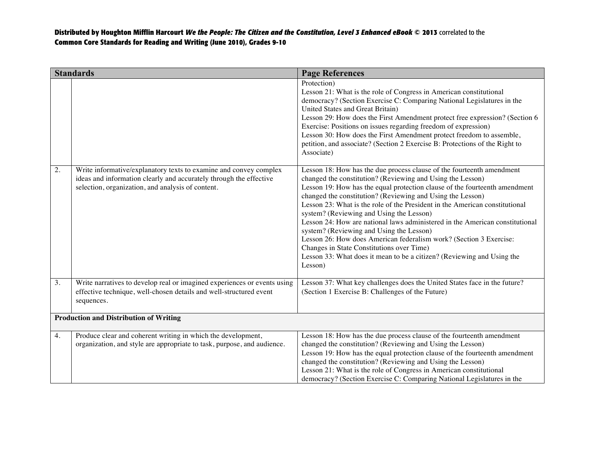| <b>Standards</b>                              |                                                                                                                                                                                              | <b>Page References</b>                                                                                                                                                                                                                                                                                                                                                                                                                                                                                                                                                                                                                                                                                                                         |
|-----------------------------------------------|----------------------------------------------------------------------------------------------------------------------------------------------------------------------------------------------|------------------------------------------------------------------------------------------------------------------------------------------------------------------------------------------------------------------------------------------------------------------------------------------------------------------------------------------------------------------------------------------------------------------------------------------------------------------------------------------------------------------------------------------------------------------------------------------------------------------------------------------------------------------------------------------------------------------------------------------------|
|                                               |                                                                                                                                                                                              | Protection)<br>Lesson 21: What is the role of Congress in American constitutional<br>democracy? (Section Exercise C: Comparing National Legislatures in the<br>United States and Great Britain)<br>Lesson 29: How does the First Amendment protect free expression? (Section 6<br>Exercise: Positions on issues regarding freedom of expression)<br>Lesson 30: How does the First Amendment protect freedom to assemble,<br>petition, and associate? (Section 2 Exercise B: Protections of the Right to<br>Associate)                                                                                                                                                                                                                          |
| 2.                                            | Write informative/explanatory texts to examine and convey complex<br>ideas and information clearly and accurately through the effective<br>selection, organization, and analysis of content. | Lesson 18: How has the due process clause of the fourteenth amendment<br>changed the constitution? (Reviewing and Using the Lesson)<br>Lesson 19: How has the equal protection clause of the fourteenth amendment<br>changed the constitution? (Reviewing and Using the Lesson)<br>Lesson 23: What is the role of the President in the American constitutional<br>system? (Reviewing and Using the Lesson)<br>Lesson 24: How are national laws administered in the American constitutional<br>system? (Reviewing and Using the Lesson)<br>Lesson 26: How does American federalism work? (Section 3 Exercise:<br>Changes in State Constitutions over Time)<br>Lesson 33: What does it mean to be a citizen? (Reviewing and Using the<br>Lesson) |
| 3.                                            | Write narratives to develop real or imagined experiences or events using<br>effective technique, well-chosen details and well-structured event<br>sequences.                                 | Lesson 37: What key challenges does the United States face in the future?<br>(Section 1 Exercise B: Challenges of the Future)                                                                                                                                                                                                                                                                                                                                                                                                                                                                                                                                                                                                                  |
| <b>Production and Distribution of Writing</b> |                                                                                                                                                                                              |                                                                                                                                                                                                                                                                                                                                                                                                                                                                                                                                                                                                                                                                                                                                                |
| 4.                                            | Produce clear and coherent writing in which the development,<br>organization, and style are appropriate to task, purpose, and audience.                                                      | Lesson 18: How has the due process clause of the fourteenth amendment<br>changed the constitution? (Reviewing and Using the Lesson)<br>Lesson 19: How has the equal protection clause of the fourteenth amendment<br>changed the constitution? (Reviewing and Using the Lesson)<br>Lesson 21: What is the role of Congress in American constitutional<br>democracy? (Section Exercise C: Comparing National Legislatures in the                                                                                                                                                                                                                                                                                                                |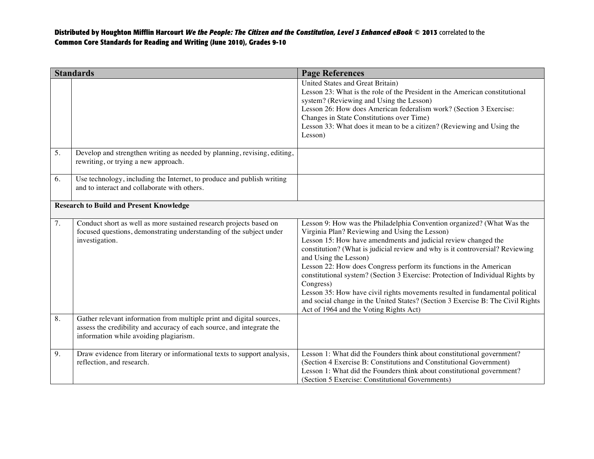| <b>Standards</b>                               |                                                                                                                                                                                         | <b>Page References</b>                                                                                                                                                                                                                                                                                                                                                                                                                                                                                                                                                                                                                                                                 |
|------------------------------------------------|-----------------------------------------------------------------------------------------------------------------------------------------------------------------------------------------|----------------------------------------------------------------------------------------------------------------------------------------------------------------------------------------------------------------------------------------------------------------------------------------------------------------------------------------------------------------------------------------------------------------------------------------------------------------------------------------------------------------------------------------------------------------------------------------------------------------------------------------------------------------------------------------|
|                                                |                                                                                                                                                                                         | United States and Great Britain)<br>Lesson 23: What is the role of the President in the American constitutional<br>system? (Reviewing and Using the Lesson)<br>Lesson 26: How does American federalism work? (Section 3 Exercise:<br>Changes in State Constitutions over Time)<br>Lesson 33: What does it mean to be a citizen? (Reviewing and Using the<br>Lesson)                                                                                                                                                                                                                                                                                                                    |
| 5.                                             | Develop and strengthen writing as needed by planning, revising, editing,<br>rewriting, or trying a new approach.                                                                        |                                                                                                                                                                                                                                                                                                                                                                                                                                                                                                                                                                                                                                                                                        |
| 6.                                             | Use technology, including the Internet, to produce and publish writing<br>and to interact and collaborate with others.                                                                  |                                                                                                                                                                                                                                                                                                                                                                                                                                                                                                                                                                                                                                                                                        |
| <b>Research to Build and Present Knowledge</b> |                                                                                                                                                                                         |                                                                                                                                                                                                                                                                                                                                                                                                                                                                                                                                                                                                                                                                                        |
| 7.                                             | Conduct short as well as more sustained research projects based on<br>focused questions, demonstrating understanding of the subject under<br>investigation.                             | Lesson 9: How was the Philadelphia Convention organized? (What Was the<br>Virginia Plan? Reviewing and Using the Lesson)<br>Lesson 15: How have amendments and judicial review changed the<br>constitution? (What is judicial review and why is it controversial? Reviewing<br>and Using the Lesson)<br>Lesson 22: How does Congress perform its functions in the American<br>constitutional system? (Section 3 Exercise: Protection of Individual Rights by<br>Congress)<br>Lesson 35: How have civil rights movements resulted in fundamental political<br>and social change in the United States? (Section 3 Exercise B: The Civil Rights<br>Act of 1964 and the Voting Rights Act) |
| 8.                                             | Gather relevant information from multiple print and digital sources,<br>assess the credibility and accuracy of each source, and integrate the<br>information while avoiding plagiarism. |                                                                                                                                                                                                                                                                                                                                                                                                                                                                                                                                                                                                                                                                                        |
| 9.                                             | Draw evidence from literary or informational texts to support analysis,<br>reflection, and research.                                                                                    | Lesson 1: What did the Founders think about constitutional government?<br>(Section 4 Exercise B: Constitutions and Constitutional Government)<br>Lesson 1: What did the Founders think about constitutional government?<br>(Section 5 Exercise: Constitutional Governments)                                                                                                                                                                                                                                                                                                                                                                                                            |